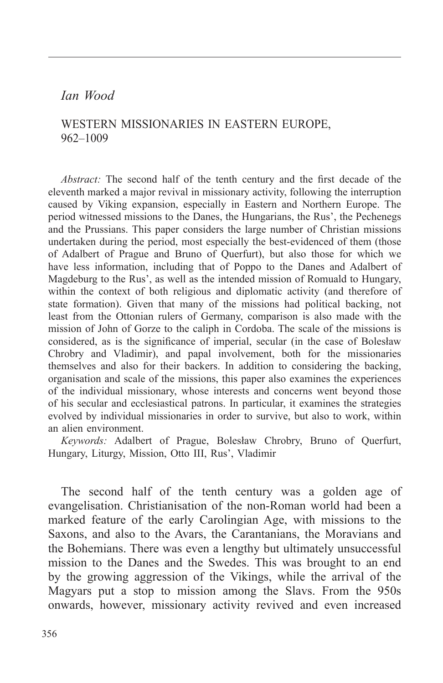# *Ian Wood*

### WESTERN MISSIONARIES IN EASTERN EUROPE, 962–1009

*Abstract:* The second half of the tenth century and the first decade of the eleventh marked a major revival in missionary activity, following the interruption caused by Viking expansion, especially in Eastern and Northern Europe. The period witnessed missions to the Danes, the Hungarians, the Rus', the Pechenegs and the Prussians. This paper considers the large number of Christian missions undertaken during the period, most especially the best-evidenced of them (those of Adalbert of Prague and Bruno of Querfurt), but also those for which we have less information, including that of Poppo to the Danes and Adalbert of Magdeburg to the Rus', as well as the intended mission of Romuald to Hungary, within the context of both religious and diplomatic activity (and therefore of state formation). Given that many of the missions had political backing, not least from the Ottonian rulers of Germany, comparison is also made with the mission of John of Gorze to the caliph in Cordoba. The scale of the missions is considered, as is the significance of imperial, secular (in the case of Bolesław Chrobry and Vladimir), and papal involvement, both for the missionaries themselves and also for their backers. In addition to considering the backing, organisation and scale of the missions, this paper also examines the experiences of the individual missionary, whose interests and concerns went beyond those of his secular and ecclesiastical patrons. In particular, it examines the strategies evolved by individual missionaries in order to survive, but also to work, within an alien environment.

*Keywords:* Adalbert of Prague, Bolesław Chrobry, Bruno of Querfurt, Hungary, Liturgy, Mission, Otto III, Rus', Vladimir

The second half of the tenth century was a golden age of evangelisation. Christianisation of the non-Roman world had been a marked feature of the early Carolingian Age, with missions to the Saxons, and also to the Avars, the Carantanians, the Moravians and the Bohemians. There was even a lengthy but ultimately unsuccessful mission to the Danes and the Swedes. This was brought to an end by the growing aggression of the Vikings, while the arrival of the Magyars put a stop to mission among the Slavs. From the 950s onwards, however, missionary activity revived and even increased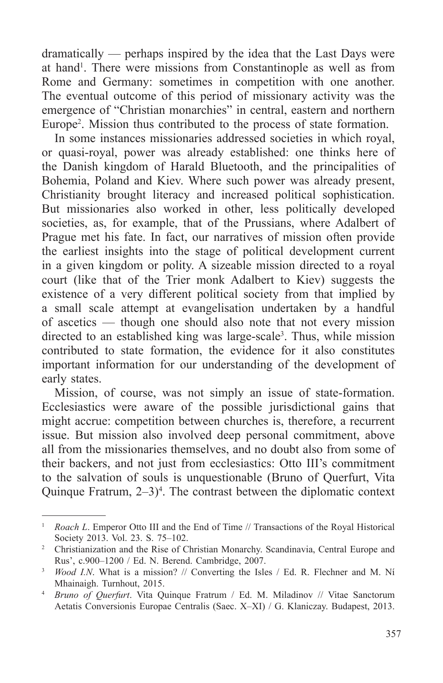dramatically — perhaps inspired by the idea that the Last Days were at hand<sup>1</sup>. There were missions from Constantinople as well as from Rome and Germany: sometimes in competition with one another. The eventual outcome of this period of missionary activity was the emergence of "Christian monarchies" in central, eastern and northern Europe<sup>2</sup>. Mission thus contributed to the process of state formation.

In some instances missionaries addressed societies in which royal, or quasi-royal, power was already established: one thinks here of the Danish kingdom of Harald Bluetooth, and the principalities of Bohemia, Poland and Kiev. Where such power was already present, Christianity brought literacy and increased political sophistication. But missionaries also worked in other, less politically developed societies, as, for example, that of the Prussians, where Adalbert of Prague met his fate. In fact, our narratives of mission often provide the earliest insights into the stage of political development current in a given kingdom or polity. A sizeable mission directed to a royal court (like that of the Trier monk Adalbert to Kiev) suggests the existence of a very different political society from that implied by a small scale attempt at evangelisation undertaken by a handful of ascetics — though one should also note that not every mission directed to an established king was large-scale<sup>3</sup>. Thus, while mission contributed to state formation, the evidence for it also constitutes important information for our understanding of the development of early states.

Mission, of course, was not simply an issue of state-formation. Ecclesiastics were aware of the possible jurisdictional gains that might accrue: competition between churches is, therefore, a recurrent issue. But mission also involved deep personal commitment, above all from the missionaries themselves, and no doubt also from some of their backers, and not just from ecclesiastics: Otto III's commitment to the salvation of souls is unquestionable (Bruno of Querfurt, Vita Quinque Fratrum, 2–3)<sup>4</sup>. The contrast between the diplomatic context

<sup>1</sup> *Roach L*. Emperor Otto III and the End of Time // Transactions of the Royal Historical Society 2013. Vol. 23. S. 75–102.

<sup>&</sup>lt;sup>2</sup> Christianization and the Rise of Christian Monarchy. Scandinavia, Central Europe and Rus', c.900–1200 / Ed. N. Berend. Cambridge, 2007.

<sup>&</sup>lt;sup>3</sup> *Wood I.N.* What is a mission? // Converting the Isles / Ed. R. Flechner and M. Ní Mhainaigh. Turnhout, 2015.

<sup>4</sup> *Bruno of Querfurt*. Vita Quinque Fratrum / Ed. M. Miladinov // Vitae Sanctorum Aetatis Conversionis Europae Centralis (Saec. X–XI) / G. Klaniczay. Budapest, 2013.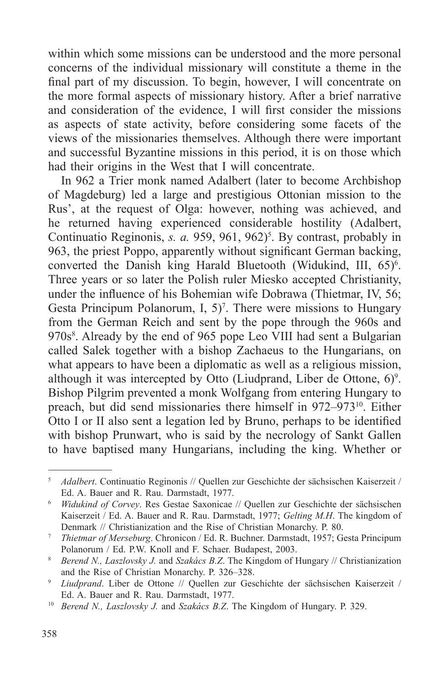within which some missions can be understood and the more personal concerns of the individual missionary will constitute a theme in the final part of my discussion. To begin, however, I will concentrate on the more formal aspects of missionary history. After a brief narrative and consideration of the evidence. I will first consider the missions as aspects of state activity, before considering some facets of the views of the missionaries themselves. Although there were important and successful Byzantine missions in this period, it is on those which had their origins in the West that I will concentrate.

In 962 a Trier monk named Adalbert (later to become Archbishop of Magdeburg) led a large and prestigious Ottonian mission to the Rus', at the request of Olga: however, nothing was achieved, and he returned having experienced considerable hostility (Adalbert, Continuatio Reginonis, *s. a.* 959, 961, 962)<sup>5</sup>. By contrast, probably in 963, the priest Poppo, apparently without significant German backing, converted the Danish king Harald Bluetooth (Widukind, III,  $65$ <sup>6</sup>. Three years or so later the Polish ruler Miesko accepted Christianity, under the influence of his Bohemian wife Dobrawa (Thietmar, IV, 56; Gesta Principum Polanorum,  $I$ ,  $5$ <sup>7</sup>. There were missions to Hungary from the German Reich and sent by the pope through the 960s and 970s<sup>8</sup>. Already by the end of 965 pope Leo VIII had sent a Bulgarian called Salek together with a bishop Zachaeus to the Hungarians, on what appears to have been a diplomatic as well as a religious mission, although it was intercepted by Otto (Liudprand, Liber de Ottone,  $6$ <sup>9</sup>. Bishop Pilgrim prevented a monk Wolfgang from entering Hungary to preach, but did send missionaries there himself in 972–97310. Either Otto I or II also sent a legation led by Bruno, perhaps to be identified with bishop Prunwart, who is said by the necrology of Sankt Gallen to have baptised many Hungarians, including the king. Whether or

<sup>5</sup> *Adalbert*. Continuatio Reginonis // Quellen zur Geschichte der sächsischen Kaiserzeit / Ed. A. Bauer and R. Rau. Darmstadt, 1977.

<sup>6</sup> *Widukind of Corvey*. Res Gestae Saxonicae // Quellen zur Geschichte der sächsischen Kaiserzeit / Ed. A. Bauer and R. Rau. Darmstadt, 1977; *Gelting M.H*. The kingdom of Denmark // Christianization and the Rise of Christian Monarchy. P. 80.

<sup>7</sup> *Thietmar of Merseburg*. Chronicon / Ed. R. Buchner. Darmstadt, 1957; Gesta Principum Polanorum / Ed. P.W. Knoll and F. Schaer. Budapest, 2003.

<sup>8</sup> *Berend N., Laszlovsky J.* and *Szakács B.Z*. The Kingdom of Hungary // Christianization and the Rise of Christian Monarchy. P. 326–328.

<sup>9</sup> *Liudprand*. Liber de Ottone // Quellen zur Geschichte der sächsischen Kaiserzeit / Ed. A. Bauer and R. Rau. Darmstadt, 1977.

<sup>10</sup> *Berend N., Laszlovsky J.* and *Szakács B.Z*. The Kingdom of Hungary. P. 329.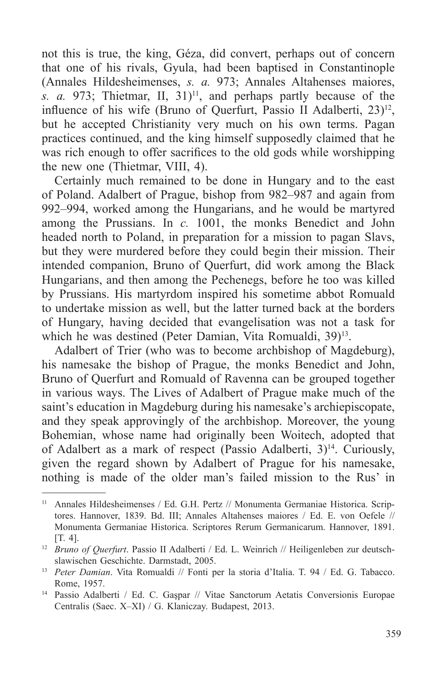not this is true, the king, Géza, did convert, perhaps out of concern that one of his rivals, Gyula, had been baptised in Constantinople (Annales Hildesheimenses, *s. a.* 973; Annales Altahenses maiores,  $s. a. 973$ ; Thietmar, II,  $31$ <sup>11</sup>, and perhaps partly because of the influence of his wife (Bruno of Querfurt, Passio II Adalberti,  $23$ )<sup>12</sup>, but he accepted Christianity very much on his own terms. Pagan practices continued, and the king himself supposedly claimed that he was rich enough to offer sacrifices to the old gods while worshipping the new one (Thietmar, VIII, 4).

Certainly much remained to be done in Hungary and to the east of Poland. Adalbert of Prague, bishop from 982–987 and again from 992–994, worked among the Hungarians, and he would be martyred among the Prussians. In *c.* 1001, the monks Benedict and John headed north to Poland, in preparation for a mission to pagan Slavs, but they were murdered before they could begin their mission. Their intended companion, Bruno of Querfurt, did work among the Black Hungarians, and then among the Pechenegs, before he too was killed by Prussians. His martyrdom inspired his sometime abbot Romuald to undertake mission as well, but the latter turned back at the borders of Hungary, having decided that evangelisation was not a task for which he was destined (Peter Damian, Vita Romualdi, 39)<sup>13</sup>.

Adalbert of Trier (who was to become archbishop of Magdeburg), his namesake the bishop of Prague, the monks Benedict and John, Bruno of Querfurt and Romuald of Ravenna can be grouped together in various ways. The Lives of Adalbert of Prague make much of the saint's education in Magdeburg during his namesake's archiepiscopate, and they speak approvingly of the archbishop. Moreover, the young Bohemian, whose name had originally been Woitech, adopted that of Adalbert as a mark of respect (Passio Adalberti, 3)14. Curiously, given the regard shown by Adalbert of Prague for his namesake, nothing is made of the older man's failed mission to the Rus' in

<sup>&</sup>lt;sup>11</sup> Annales Hildesheimenses / Ed. G.H. Pertz // Monumenta Germaniae Historica. Scriptores. Hannover, 1839. Bd. III; Annales Altahenses maiores / Ed. E. von Oefele // Monumenta Germaniae Historica. Scriptores Rerum Germanicarum. Hannover, 1891. [T. 4].

<sup>&</sup>lt;sup>12</sup> *Bruno of Querfurt*. Passio II Adalberti / Ed. L. Weinrich // Heiligenleben zur deutschslawischen Geschichte. Darmstadt, 2005.

<sup>13</sup> *Peter Damian*. Vita Romualdi // Fonti per la storia d'Italia. T. 94 / Ed. G. Tabacco. Rome, 1957.

<sup>14</sup> Passio Adalberti / Ed. C. Gaşpar // Vitae Sanctorum Aetatis Conversionis Europae Centralis (Saec. X–XI) / G. Klaniczay. Budapest, 2013.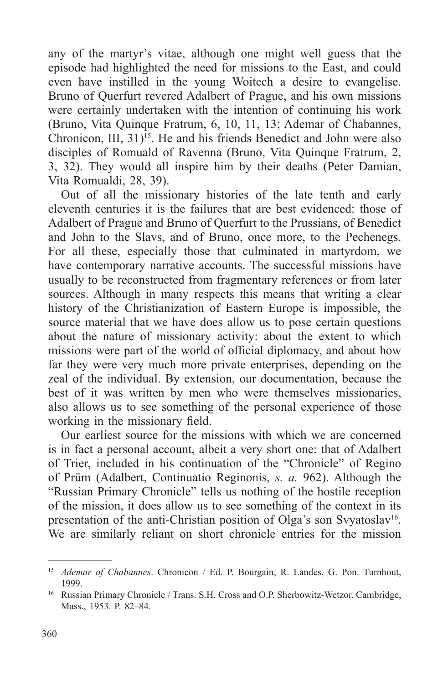any of the martyr's vitae, although one might well guess that the episode had highlighted the need for missions to the East, and could even have instilled in the young Woitech a desire to evangelise. Bruno of Querfurt revered Adalbert of Prague, and his own missions were certainly undertaken with the intention of continuing his work (Bruno, Vita Quinque Fratrum, 6, 10, 11, 13; Ademar of Chabannes, Chronicon,  $III$ ,  $31$ <sup>15</sup>. He and his friends Benedict and John were also disciples of Romuald of Ravenna (Bruno, Vita Quinque Fratrum, 2, 3, 32). They would all inspire him by their deaths (Peter Damian, Vita Romualdi, 28, 39).

Out of all the missionary histories of the late tenth and early eleventh centuries it is the failures that are best evidenced: those of Adalbert of Prague and Bruno of Querfurt to the Prussians, of Benedict and John to the Slavs, and of Bruno, once more, to the Pechenegs. For all these, especially those that culminated in martyrdom, we have contemporary narrative accounts. The successful missions have usually to be reconstructed from fragmentary references or from later sources. Although in many respects this means that writing a clear history of the Christianization of Eastern Europe is impossible, the source material that we have does allow us to pose certain questions about the nature of missionary activity: about the extent to which missions were part of the world of official diplomacy, and about how far they were very much more private enterprises, depending on the zeal of the individual. By extension, our documentation, because the best of it was written by men who were themselves missionaries, also allows us to see something of the personal experience of those working in the missionary field.

Our earliest source for the missions with which we are concerned is in fact a personal account, albeit a very short one: that of Adalbert of Trier, included in his continuation of the "Chronicle" of Regino of Prüm (Adalbert, Continuatio Reginonis, *s. a.* 962). Although the "Russian Primary Chronicle" tells us nothing of the hostile reception of the mission, it does allow us to see something of the context in its presentation of the anti-Christian position of Olga's son Syvatoslav<sup>16</sup>. We are similarly reliant on short chronicle entries for the mission

<sup>15</sup> *Ademar of Chabannes*. Chronicon / Ed. P. Bourgain, R. Landes, G. Pon. Turnhout, 1999.

<sup>&</sup>lt;sup>16</sup> Russian Primary Chronicle / Trans. S.H. Cross and O.P. Sherbowitz-Wetzor. Cambridge, Mass., 1953. P. 82–84.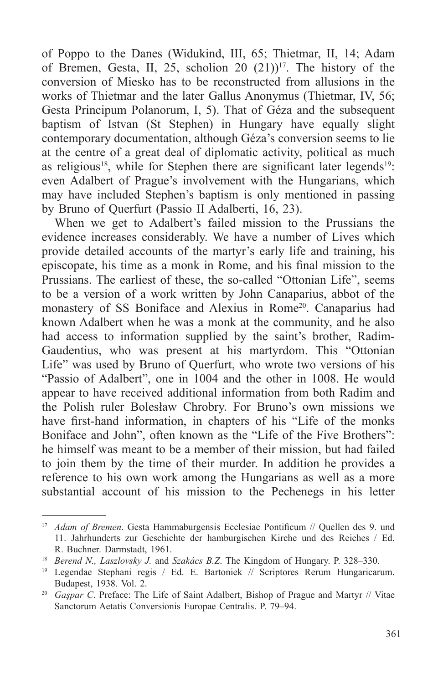of Poppo to the Danes (Widukind, III, 65; Thietmar, II, 14; Adam of Bremen, Gesta, II, 25, scholion 20  $(21)$ <sup>17</sup>. The history of the conversion of Miesko has to be reconstructed from allusions in the works of Thietmar and the later Gallus Anonymus (Thietmar, IV, 56; Gesta Principum Polanorum, I, 5). That of Géza and the subsequent baptism of Istvan (St Stephen) in Hungary have equally slight contemporary documentation, although Géza's conversion seems to lie at the centre of a great deal of diplomatic activity, political as much as religious<sup>18</sup>, while for Stephen there are significant later legends<sup>19</sup>: even Adalbert of Prague's involvement with the Hungarians, which may have included Stephen's baptism is only mentioned in passing by Bruno of Querfurt (Passio II Adalberti, 16, 23).

When we get to Adalbert's failed mission to the Prussians the evidence increases considerably. We have a number of Lives which provide detailed accounts of the martyr's early life and training, his episcopate, his time as a monk in Rome, and his final mission to the Prussians. The earliest of these, the so-called "Ottonian Life", seems to be a version of a work written by John Canaparius, abbot of the monastery of SS Boniface and Alexius in Rome<sup>20</sup>. Canaparius had known Adalbert when he was a monk at the community, and he also had access to information supplied by the saint's brother, Radim-Gaudentius, who was present at his martyrdom. This "Ottonian Life" was used by Bruno of Querfurt, who wrote two versions of his "Passio of Adalbert", one in 1004 and the other in 1008. He would appear to have received additional information from both Radim and the Polish ruler Bolesław Chrobry. For Bruno's own missions we have first-hand information, in chapters of his "Life of the monks" Boniface and John", often known as the "Life of the Five Brothers": he himself was meant to be a member of their mission, but had failed to join them by the time of their murder. In addition he provides a reference to his own work among the Hungarians as well as a more substantial account of his mission to the Pechenegs in his letter

<sup>&</sup>lt;sup>17</sup> *Adam of Bremen*. Gesta Hammaburgensis Ecclesiae Pontificum // Quellen des 9. und 11. Jahrhunderts zur Geschichte der hamburgischen Kirche und des Reiches / Ed. R. Buchner. Darmstadt, 1961.

<sup>18</sup> *Berend N., Laszlovsky J.* and *Szakács B.Z*. The Kingdom of Hungary. P. 328–330.

<sup>&</sup>lt;sup>19</sup> Legendae Stephani regis / Ed. E. Bartoniek // Scriptores Rerum Hungaricarum. Budapest, 1938. Vol. 2.

<sup>20</sup> *Gaşpar C*. Preface: The Life of Saint Adalbert, Bishop of Prague and Martyr // Vitae Sanctorum Aetatis Conversionis Europae Centralis. P. 79–94.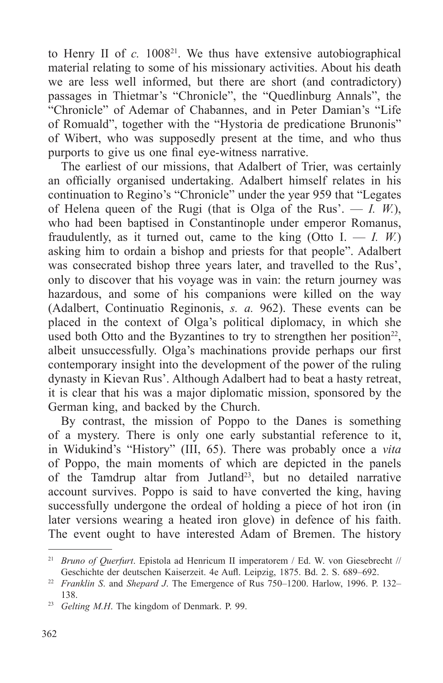to Henry II of *c.* 100821. We thus have extensive autobiographical material relating to some of his missionary activities. About his death we are less well informed, but there are short (and contradictory) passages in Thietmar's "Chronicle", the "Quedlinburg Annals", the "Chronicle" of Ademar of Chabannes, and in Peter Damian's "Life of Romuald", together with the "Hystoria de predicatione Brunonis" of Wibert, who was supposedly present at the time, and who thus purports to give us one final eye-witness narrative.

The earliest of our missions, that Adalbert of Trier, was certainly an officially organised undertaking. Adalbert himself relates in his continuation to Regino's "Chronicle" under the year 959 that "Legates of Helena queen of the Rugi (that is Olga of the Rus'.  $- I. W$ ), who had been baptised in Constantinople under emperor Romanus, fraudulently, as it turned out, came to the king  $(Orto I. - I. W.)$ asking him to ordain a bishop and priests for that people". Adalbert was consecrated bishop three years later, and travelled to the Rus', only to discover that his voyage was in vain: the return journey was hazardous, and some of his companions were killed on the way (Adalbert, Continuatio Reginonis, *s. a.* 962). These events can be placed in the context of Olga's political diplomacy, in which she used both Otto and the Byzantines to try to strengthen her position<sup>22</sup>, albeit unsuccessfully. Olga's machinations provide perhaps our first contemporary insight into the development of the power of the ruling dynasty in Kievan Rus'. Although Adalbert had to beat a hasty retreat, it is clear that his was a major diplomatic mission, sponsored by the German king, and backed by the Church.

By contrast, the mission of Poppo to the Danes is something of a mystery. There is only one early substantial reference to it, in Widukind's "History" (III, 65). There was probably once a *vita* of Poppo, the main moments of which are depicted in the panels of the Tamdrup altar from Jutland<sup>23</sup>, but no detailed narrative account survives. Poppo is said to have converted the king, having successfully undergone the ordeal of holding a piece of hot iron (in later versions wearing a heated iron glove) in defence of his faith. The event ought to have interested Adam of Bremen. The history

<sup>21</sup> *Bruno of Querfurt*. Epistola ad Henricum II imperatorem / Ed. W. von Giesebrecht // Geschichte der deutschen Kaiserzeit. 4e Aufl . Leipzig, 1875. Bd. 2. S. 689–692.

<sup>22</sup> *Franklin S*. and *Shepard J*. The Emergence of Rus 750–1200. Harlow, 1996. P. 132– 138.

<sup>23</sup> *Gelting M.H*. The kingdom of Denmark. P. 99.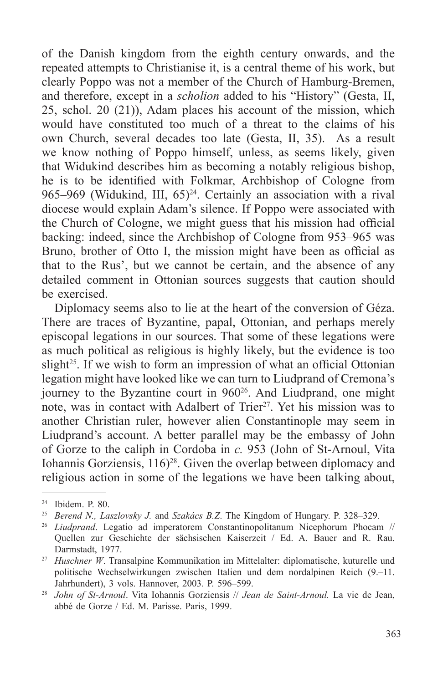of the Danish kingdom from the eighth century onwards, and the repeated attempts to Christianise it, is a central theme of his work, but clearly Poppo was not a member of the Church of Hamburg-Bremen, and therefore, except in a *scholion* added to his "History" (Gesta, II, 25, schol. 20 (21)), Adam places his account of the mission, which would have constituted too much of a threat to the claims of his own Church, several decades too late (Gesta, II, 35). As a result we know nothing of Poppo himself, unless, as seems likely, given that Widukind describes him as becoming a notably religious bishop, he is to be identified with Folkmar, Archbishop of Cologne from 965–969 (Widukind, III,  $65)^{24}$ . Certainly an association with a rival diocese would explain Adam's silence. If Poppo were associated with the Church of Cologne, we might guess that his mission had official backing: indeed, since the Archbishop of Cologne from 953–965 was Bruno, brother of Otto I, the mission might have been as official as that to the Rus', but we cannot be certain, and the absence of any detailed comment in Ottonian sources suggests that caution should be exercised.

Diplomacy seems also to lie at the heart of the conversion of Géza. There are traces of Byzantine, papal, Ottonian, and perhaps merely episcopal legations in our sources. That some of these legations were as much political as religious is highly likely, but the evidence is too slight<sup>25</sup>. If we wish to form an impression of what an official Ottonian legation might have looked like we can turn to Liudprand of Cremona's journey to the Byzantine court in 96026. And Liudprand, one might note, was in contact with Adalbert of Trier<sup>27</sup>. Yet his mission was to another Christian ruler, however alien Constantinople may seem in Liudprand's account. A better parallel may be the embassy of John of Gorze to the caliph in Cordoba in *c.* 953 (John of St-Arnoul, Vita Iohannis Gorziensis, 116)<sup>28</sup>. Given the overlap between diplomacy and religious action in some of the legations we have been talking about,

<sup>24</sup> Ibidem. P. 80.

<sup>25</sup> *Berend N., Laszlovsky J.* and *Szakács B.Z*. The Kingdom of Hungary. P. 328–329.

<sup>26</sup> *Liudprand*. Legatio ad imperatorem Constantinopolitanum Nicephorum Phocam // Quellen zur Geschichte der sächsischen Kaiserzeit / Ed. A. Bauer and R. Rau. Darmstadt, 1977.

<sup>27</sup> *Huschner W*. Transalpine Kommunikation im Mittelalter: diplomatische, kuturelle und politische Wechselwirkungen zwischen Italien und dem nordalpinen Reich (9.–11. Jahrhundert), 3 vols. Hannover, 2003. P. 596–599.

<sup>28</sup> *John of St-Arnoul*. Vita Iohannis Gorziensis // *Jean de Saint-Arnoul.* La vie de Jean, abbé de Gorze / Ed. M. Parisse. Paris, 1999.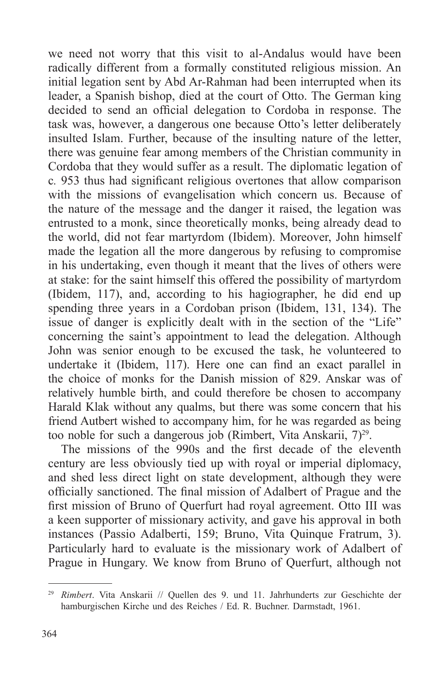we need not worry that this visit to al-Andalus would have been radically different from a formally constituted religious mission. An initial legation sent by Abd Ar-Rahman had been interrupted when its leader, a Spanish bishop, died at the court of Otto. The German king decided to send an official delegation to Cordoba in response. The task was, however, a dangerous one because Otto's letter deliberately insulted Islam. Further, because of the insulting nature of the letter, there was genuine fear among members of the Christian community in Cordoba that they would suffer as a result. The diplomatic legation of c. 953 thus had significant religious overtones that allow comparison with the missions of evangelisation which concern us. Because of the nature of the message and the danger it raised, the legation was entrusted to a monk, since theoretically monks, being already dead to the world, did not fear martyrdom (Ibidem). Moreover, John himself made the legation all the more dangerous by refusing to compromise in his undertaking, even though it meant that the lives of others were at stake: for the saint himself this offered the possibility of martyrdom (Ibidem, 117), and, according to his hagiographer, he did end up spending three years in a Cordoban prison (Ibidem, 131, 134). The issue of danger is explicitly dealt with in the section of the "Life" concerning the saint's appointment to lead the delegation. Although John was senior enough to be excused the task, he volunteered to undertake it (Ibidem, 117). Here one can find an exact parallel in the choice of monks for the Danish mission of 829. Anskar was of relatively humble birth, and could therefore be chosen to accompany Harald Klak without any qualms, but there was some concern that his friend Autbert wished to accompany him, for he was regarded as being too noble for such a dangerous job (Rimbert, Vita Anskarii,  $7)^{29}$ .

The missions of the 990s and the first decade of the eleventh century are less obviously tied up with royal or imperial diplomacy, and shed less direct light on state development, although they were officially sanctioned. The final mission of Adalbert of Prague and the first mission of Bruno of Querfurt had royal agreement. Otto III was a keen supporter of missionary activity, and gave his approval in both instances (Passio Adalberti, 159; Bruno, Vita Quinque Fratrum, 3). Particularly hard to evaluate is the missionary work of Adalbert of Prague in Hungary. We know from Bruno of Querfurt, although not

<sup>29</sup> *Rimbert*. Vita Anskarii // Quellen des 9. und 11. Jahrhunderts zur Geschichte der hamburgischen Kirche und des Reiches / Ed. R. Buchner. Darmstadt, 1961.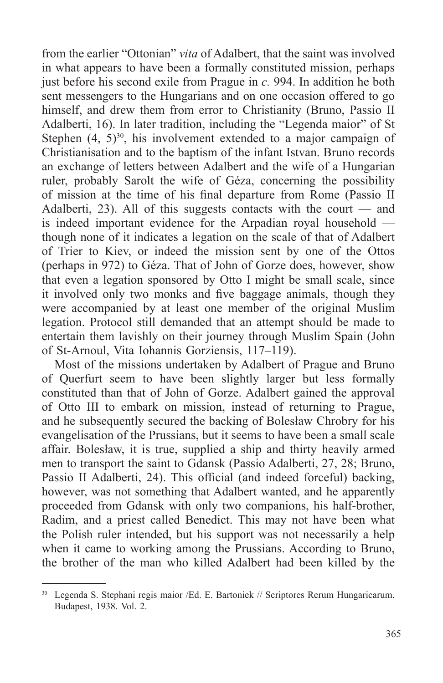from the earlier "Ottonian" *vita* of Adalbert, that the saint was involved in what appears to have been a formally constituted mission, perhaps just before his second exile from Prague in *c.* 994. In addition he both sent messengers to the Hungarians and on one occasion offered to go himself, and drew them from error to Christianity (Bruno, Passio II Adalberti, 16). In later tradition, including the "Legenda maior" of St Stephen  $(4, 5)^{30}$ , his involvement extended to a major campaign of Christianisation and to the baptism of the infant Istvan. Bruno records an exchange of letters between Adalbert and the wife of a Hungarian ruler, probably Sarolt the wife of Géza, concerning the possibility of mission at the time of his final departure from Rome (Passio II Adalberti, 23). All of this suggests contacts with the court — and is indeed important evidence for the Arpadian royal household though none of it indicates a legation on the scale of that of Adalbert of Trier to Kiev, or indeed the mission sent by one of the Ottos (perhaps in 972) to Géza. That of John of Gorze does, however, show that even a legation sponsored by Otto I might be small scale, since it involved only two monks and five baggage animals, though they were accompanied by at least one member of the original Muslim legation. Protocol still demanded that an attempt should be made to entertain them lavishly on their journey through Muslim Spain (John of St-Arnoul, Vita Iohannis Gorziensis, 117–119).

Most of the missions undertaken by Adalbert of Prague and Bruno of Querfurt seem to have been slightly larger but less formally constituted than that of John of Gorze. Adalbert gained the approval of Otto III to embark on mission, instead of returning to Prague, and he subsequently secured the backing of Bolesław Chrobry for his evangelisation of the Prussians, but it seems to have been a small scale affair. Bolesław, it is true, supplied a ship and thirty heavily armed men to transport the saint to Gdansk (Passio Adalberti, 27, 28; Bruno, Passio II Adalberti, 24). This official (and indeed forceful) backing, however, was not something that Adalbert wanted, and he apparently proceeded from Gdansk with only two companions, his half-brother, Radim, and a priest called Benedict. This may not have been what the Polish ruler intended, but his support was not necessarily a help when it came to working among the Prussians. According to Bruno, the brother of the man who killed Adalbert had been killed by the

<sup>30</sup> Legenda S. Stephani regis maior /Ed. E. Bartoniek // Scriptores Rerum Hungaricarum, Budapest, 1938. Vol. 2.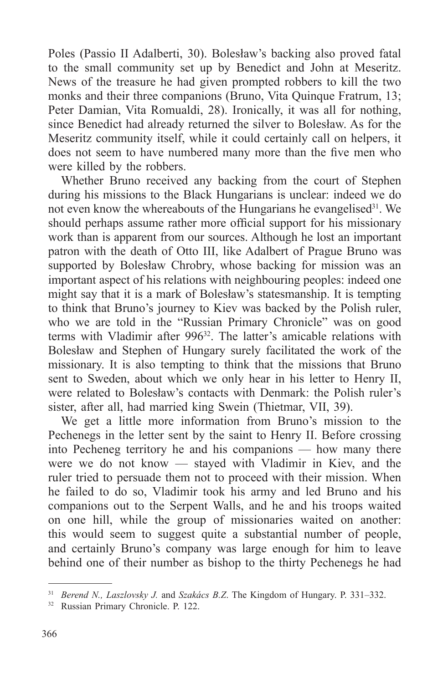Poles (Passio II Adalberti, 30). Bolesław's backing also proved fatal to the small community set up by Benedict and John at Meseritz. News of the treasure he had given prompted robbers to kill the two monks and their three companions (Bruno, Vita Quinque Fratrum, 13; Peter Damian, Vita Romualdi, 28). Ironically, it was all for nothing, since Benedict had already returned the silver to Bolesław. As for the Meseritz community itself, while it could certainly call on helpers, it does not seem to have numbered many more than the five men who were killed by the robbers.

Whether Bruno received any backing from the court of Stephen during his missions to the Black Hungarians is unclear: indeed we do not even know the whereabouts of the Hungarians he evangelised<sup>31</sup>. We should perhaps assume rather more official support for his missionary work than is apparent from our sources. Although he lost an important patron with the death of Otto III, like Adalbert of Prague Bruno was supported by Bolesław Chrobry, whose backing for mission was an important aspect of his relations with neighbouring peoples: indeed one might say that it is a mark of Bolesław's statesmanship. It is tempting to think that Bruno's journey to Kiev was backed by the Polish ruler, who we are told in the "Russian Primary Chronicle" was on good terms with Vladimir after 996<sup>32</sup>. The latter's amicable relations with Bolesław and Stephen of Hungary surely facilitated the work of the missionary. It is also tempting to think that the missions that Bruno sent to Sweden, about which we only hear in his letter to Henry II, were related to Bolesław's contacts with Denmark: the Polish ruler's sister, after all, had married king Swein (Thietmar, VII, 39).

We get a little more information from Bruno's mission to the Pechenegs in the letter sent by the saint to Henry II. Before crossing into Pecheneg territory he and his companions — how many there were we do not know — stayed with Vladimir in Kiev, and the ruler tried to persuade them not to proceed with their mission. When he failed to do so, Vladimir took his army and led Bruno and his companions out to the Serpent Walls, and he and his troops waited on one hill, while the group of missionaries waited on another: this would seem to suggest quite a substantial number of people, and certainly Bruno's company was large enough for him to leave behind one of their number as bishop to the thirty Pechenegs he had

<sup>31</sup> *Berend N., Laszlovsky J.* and *Szakács B.Z*. The Kingdom of Hungary. P. 331–332.

<sup>32</sup> Russian Primary Chronicle. P. 122.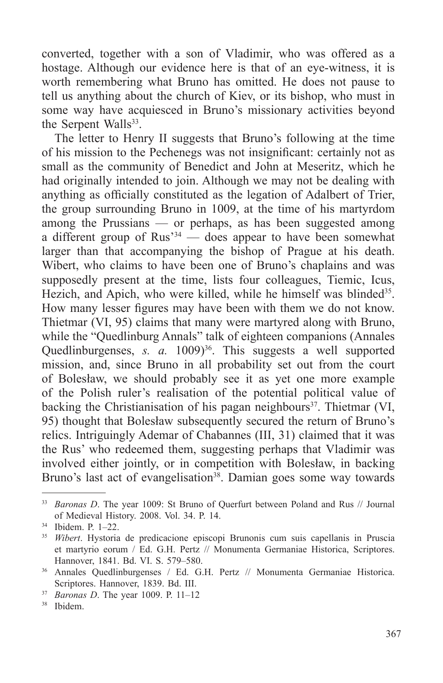converted, together with a son of Vladimir, who was offered as a hostage. Although our evidence here is that of an eye-witness, it is worth remembering what Bruno has omitted. He does not pause to tell us anything about the church of Kiev, or its bishop, who must in some way have acquiesced in Bruno's missionary activities beyond the Serpent Walls<sup>33</sup>.

The letter to Henry II suggests that Bruno's following at the time of his mission to the Pechenegs was not insignificant: certainly not as small as the community of Benedict and John at Meseritz, which he had originally intended to join. Although we may not be dealing with anything as officially constituted as the legation of Adalbert of Trier. the group surrounding Bruno in 1009, at the time of his martyrdom among the Prussians — or perhaps, as has been suggested among a different group of  $Rus<sup>34</sup>$  — does appear to have been somewhat larger than that accompanying the bishop of Prague at his death. Wibert, who claims to have been one of Bruno's chaplains and was supposedly present at the time, lists four colleagues, Tiemic, Icus, Hezich, and Apich, who were killed, while he himself was blinded<sup>35</sup>. How many lesser figures may have been with them we do not know. Thietmar (VI, 95) claims that many were martyred along with Bruno, while the "Quedlinburg Annals" talk of eighteen companions (Annales Quedlinburgenses, *s. a.* 1009)<sup>36</sup>. This suggests a well supported mission, and, since Bruno in all probability set out from the court of Bolesław, we should probably see it as yet one more example of the Polish ruler's realisation of the potential political value of backing the Christianisation of his pagan neighbours<sup>37</sup>. Thietmar  $(VI)$ , 95) thought that Bolesław subsequently secured the return of Bruno's relics. Intriguingly Ademar of Chabannes (III, 31) claimed that it was the Rus' who redeemed them, suggesting perhaps that Vladimir was involved either jointly, or in competition with Bolesław, in backing Bruno's last act of evangelisation<sup>38</sup>. Damian goes some way towards

<sup>33</sup> *Baronas D*. The year 1009: St Bruno of Querfurt between Poland and Rus // Journal of Medieval History. 2008. Vol. 34. P. 14.

<sup>34</sup> Ibidem. P. 1–22.

<sup>35</sup> *Wibert*. Hystoria de predicacione episcopi Brunonis cum suis capellanis in Pruscia et martyrio eorum / Ed. G.H. Pertz // Monumenta Germaniae Historica, Scriptores. Hannover, 1841. Bd. VI. S. 579–580.

<sup>36</sup> Annales Quedlinburgenses / Ed. G.H. Pertz // Monumenta Germaniae Historica. Scriptores. Hannover, 1839. Bd. III.

<sup>37</sup> *Baronas D*. The year 1009. P. 11–12

<sup>38</sup> Ibidem.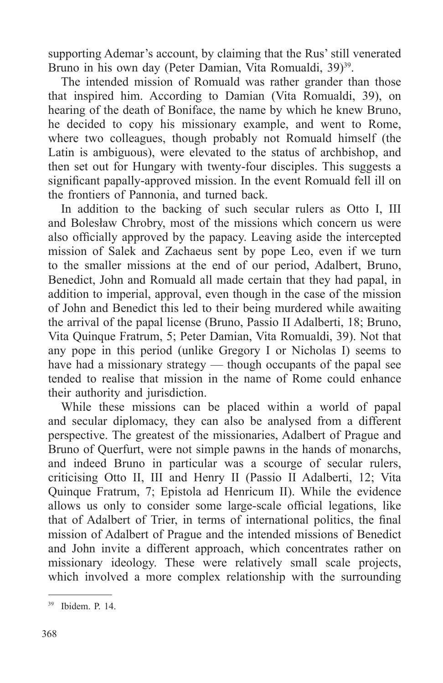supporting Ademar's account, by claiming that the Rus' still venerated Bruno in his own day (Peter Damian, Vita Romualdi, 39)<sup>39</sup>.

The intended mission of Romuald was rather grander than those that inspired him. According to Damian (Vita Romualdi, 39), on hearing of the death of Boniface, the name by which he knew Bruno, he decided to copy his missionary example, and went to Rome, where two colleagues, though probably not Romuald himself (the Latin is ambiguous), were elevated to the status of archbishop, and then set out for Hungary with twenty-four disciples. This suggests a significant papally-approved mission. In the event Romuald fell ill on the frontiers of Pannonia, and turned back.

In addition to the backing of such secular rulers as Otto I, III and Bolesław Chrobry, most of the missions which concern us were also officially approved by the papacy. Leaving aside the intercepted mission of Salek and Zachaeus sent by pope Leo, even if we turn to the smaller missions at the end of our period, Adalbert, Bruno, Benedict, John and Romuald all made certain that they had papal, in addition to imperial, approval, even though in the case of the mission of John and Benedict this led to their being murdered while awaiting the arrival of the papal license (Bruno, Passio II Adalberti, 18; Bruno, Vita Quinque Fratrum, 5; Peter Damian, Vita Romualdi, 39). Not that any pope in this period (unlike Gregory I or Nicholas I) seems to have had a missionary strategy — though occupants of the papal see tended to realise that mission in the name of Rome could enhance their authority and jurisdiction.

While these missions can be placed within a world of papal and secular diplomacy, they can also be analysed from a different perspective. The greatest of the missionaries, Adalbert of Prague and Bruno of Querfurt, were not simple pawns in the hands of monarchs, and indeed Bruno in particular was a scourge of secular rulers, criticising Otto II, III and Henry II (Passio II Adalberti, 12; Vita Quinque Fratrum, 7; Epistola ad Henricum II). While the evidence allows us only to consider some large-scale official legations, like that of Adalbert of Trier, in terms of international politics, the final mission of Adalbert of Prague and the intended missions of Benedict and John invite a different approach, which concentrates rather on missionary ideology. These were relatively small scale projects, which involved a more complex relationship with the surrounding

<sup>39</sup> Ibidem. P. 14.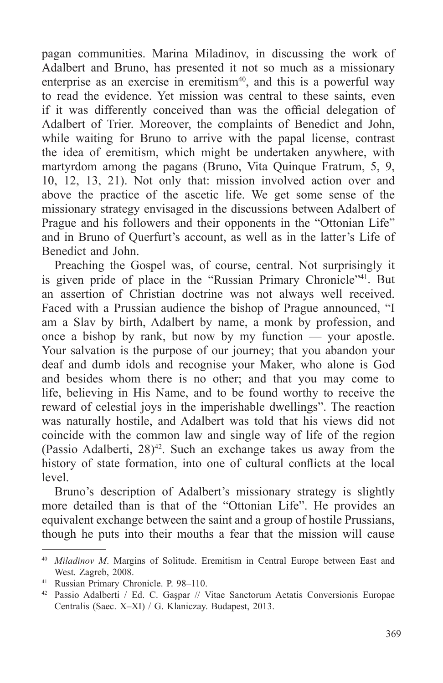pagan communities. Marina Miladinov, in discussing the work of Adalbert and Bruno, has presented it not so much as a missionary enterprise as an exercise in eremitism<sup>40</sup>, and this is a powerful way to read the evidence. Yet mission was central to these saints, even if it was differently conceived than was the official delegation of Adalbert of Trier. Moreover, the complaints of Benedict and John, while waiting for Bruno to arrive with the papal license, contrast the idea of eremitism, which might be undertaken anywhere, with martyrdom among the pagans (Bruno, Vita Quinque Fratrum, 5, 9, 10, 12, 13, 21). Not only that: mission involved action over and above the practice of the ascetic life. We get some sense of the missionary strategy envisaged in the discussions between Adalbert of Prague and his followers and their opponents in the "Ottonian Life" and in Bruno of Querfurt's account, as well as in the latter's Life of Benedict and John.

Preaching the Gospel was, of course, central. Not surprisingly it is given pride of place in the "Russian Primary Chronicle"<sup>41</sup>. But an assertion of Christian doctrine was not always well received. Faced with a Prussian audience the bishop of Prague announced, "I am a Slav by birth, Adalbert by name, a monk by profession, and once a bishop by rank, but now by my function — your apostle. Your salvation is the purpose of our journey; that you abandon your deaf and dumb idols and recognise your Maker, who alone is God and besides whom there is no other; and that you may come to life, believing in His Name, and to be found worthy to receive the reward of celestial joys in the imperishable dwellings". The reaction was naturally hostile, and Adalbert was told that his views did not coincide with the common law and single way of life of the region (Passio Adalberti, 28)42. Such an exchange takes us away from the history of state formation, into one of cultural conflicts at the local level.

Bruno's description of Adalbert's missionary strategy is slightly more detailed than is that of the "Ottonian Life". He provides an equivalent exchange between the saint and a group of hostile Prussians, though he puts into their mouths a fear that the mission will cause

<sup>40</sup> *Miladinov M*. Margins of Solitude. Eremitism in Central Europe between East and West. Zagreb, 2008.

<sup>41</sup> Russian Primary Chronicle. P. 98–110.

<sup>42</sup> Passio Adalberti / Ed. C. Gaşpar // Vitae Sanctorum Aetatis Conversionis Europae Centralis (Saec. X–XI) / G. Klaniczay. Budapest, 2013.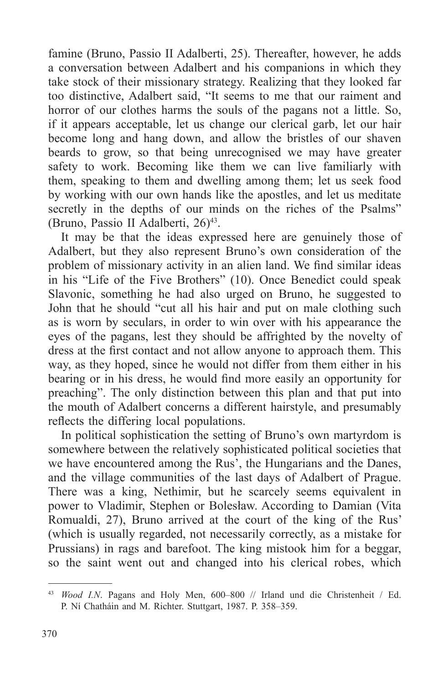famine (Bruno, Passio II Adalberti, 25). Thereafter, however, he adds a conversation between Adalbert and his companions in which they take stock of their missionary strategy. Realizing that they looked far too distinctive, Adalbert said, "It seems to me that our raiment and horror of our clothes harms the souls of the pagans not a little. So, if it appears acceptable, let us change our clerical garb, let our hair become long and hang down, and allow the bristles of our shaven beards to grow, so that being unrecognised we may have greater safety to work. Becoming like them we can live familiarly with them, speaking to them and dwelling among them; let us seek food by working with our own hands like the apostles, and let us meditate secretly in the depths of our minds on the riches of the Psalms" (Bruno, Passio II Adalberti, 26)43.

It may be that the ideas expressed here are genuinely those of Adalbert, but they also represent Bruno's own consideration of the problem of missionary activity in an alien land. We find similar ideas in his "Life of the Five Brothers" (10). Once Benedict could speak Slavonic, something he had also urged on Bruno, he suggested to John that he should "cut all his hair and put on male clothing such as is worn by seculars, in order to win over with his appearance the eyes of the pagans, lest they should be affrighted by the novelty of dress at the first contact and not allow anyone to approach them. This way, as they hoped, since he would not differ from them either in his bearing or in his dress, he would find more easily an opportunity for preaching". The only distinction between this plan and that put into the mouth of Adalbert concerns a different hairstyle, and presumably reflects the differing local populations.

In political sophistication the setting of Bruno's own martyrdom is somewhere between the relatively sophisticated political societies that we have encountered among the Rus', the Hungarians and the Danes, and the village communities of the last days of Adalbert of Prague. There was a king, Nethimir, but he scarcely seems equivalent in power to Vladimir, Stephen or Bolesław. According to Damian (Vita Romualdi, 27), Bruno arrived at the court of the king of the Rus' (which is usually regarded, not necessarily correctly, as a mistake for Prussians) in rags and barefoot. The king mistook him for a beggar, so the saint went out and changed into his clerical robes, which

<sup>43</sup> *Wood I.N*. Pagans and Holy Men, 600–800 // Irland und die Christenheit / Ed. P. Ní Chatháin and M. Richter. Stuttgart, 1987. P. 358–359.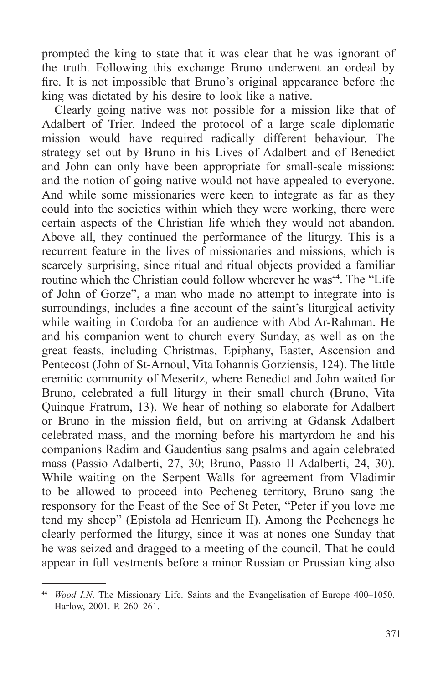prompted the king to state that it was clear that he was ignorant of the truth. Following this exchange Bruno underwent an ordeal by fire. It is not impossible that Bruno's original appearance before the king was dictated by his desire to look like a native.

Clearly going native was not possible for a mission like that of Adalbert of Trier. Indeed the protocol of a large scale diplomatic mission would have required radically different behaviour. The strategy set out by Bruno in his Lives of Adalbert and of Benedict and John can only have been appropriate for small-scale missions: and the notion of going native would not have appealed to everyone. And while some missionaries were keen to integrate as far as they could into the societies within which they were working, there were certain aspects of the Christian life which they would not abandon. Above all, they continued the performance of the liturgy. This is a recurrent feature in the lives of missionaries and missions, which is scarcely surprising, since ritual and ritual objects provided a familiar routine which the Christian could follow wherever he was<sup>44</sup>. The "Life" of John of Gorze", a man who made no attempt to integrate into is surroundings, includes a fine account of the saint's liturgical activity while waiting in Cordoba for an audience with Abd Ar-Rahman. He and his companion went to church every Sunday, as well as on the great feasts, including Christmas, Epiphany, Easter, Ascension and Pentecost (John of St-Arnoul, Vita Iohannis Gorziensis, 124). The little eremitic community of Meseritz, where Benedict and John waited for Bruno, celebrated a full liturgy in their small church (Bruno, Vita Quinque Fratrum, 13). We hear of nothing so elaborate for Adalbert or Bruno in the mission field, but on arriving at Gdansk Adalbert celebrated mass, and the morning before his martyrdom he and his companions Radim and Gaudentius sang psalms and again celebrated mass (Passio Adalberti, 27, 30; Bruno, Passio II Adalberti, 24, 30). While waiting on the Serpent Walls for agreement from Vladimir to be allowed to proceed into Pecheneg territory, Bruno sang the responsory for the Feast of the See of St Peter, "Peter if you love me tend my sheep" (Epistola ad Henricum II). Among the Pechenegs he clearly performed the liturgy, since it was at nones one Sunday that he was seized and dragged to a meeting of the council. That he could appear in full vestments before a minor Russian or Prussian king also

<sup>44</sup> *Wood I.N*. The Missionary Life. Saints and the Evangelisation of Europe 400–1050. Harlow, 2001. P. 260–261.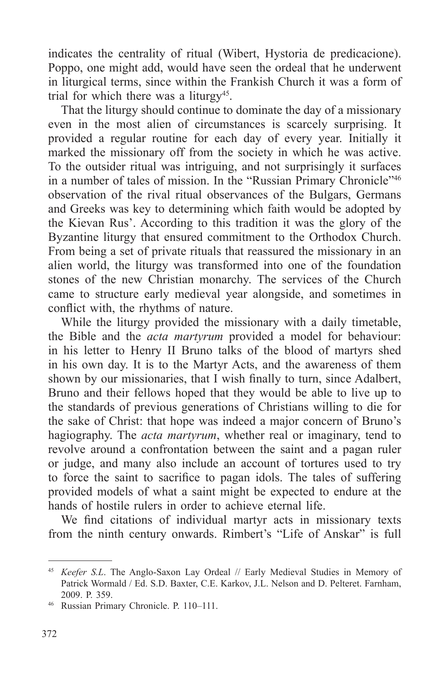indicates the centrality of ritual (Wibert, Hystoria de predicacione). Poppo, one might add, would have seen the ordeal that he underwent in liturgical terms, since within the Frankish Church it was a form of trial for which there was a liturgy<sup>45</sup>.

That the liturgy should continue to dominate the day of a missionary even in the most alien of circumstances is scarcely surprising. It provided a regular routine for each day of every year. Initially it marked the missionary off from the society in which he was active. To the outsider ritual was intriguing, and not surprisingly it surfaces in a number of tales of mission. In the "Russian Primary Chronicle"46 observation of the rival ritual observances of the Bulgars, Germans and Greeks was key to determining which faith would be adopted by the Kievan Rus'. According to this tradition it was the glory of the Byzantine liturgy that ensured commitment to the Orthodox Church. From being a set of private rituals that reassured the missionary in an alien world, the liturgy was transformed into one of the foundation stones of the new Christian monarchy. The services of the Church came to structure early medieval year alongside, and sometimes in conflict with, the rhythms of nature.

While the liturgy provided the missionary with a daily timetable, the Bible and the *acta martyrum* provided a model for behaviour: in his letter to Henry II Bruno talks of the blood of martyrs shed in his own day. It is to the Martyr Acts, and the awareness of them shown by our missionaries, that I wish finally to turn, since Adalbert, Bruno and their fellows hoped that they would be able to live up to the standards of previous generations of Christians willing to die for the sake of Christ: that hope was indeed a major concern of Bruno's hagiography. The *acta martyrum*, whether real or imaginary, tend to revolve around a confrontation between the saint and a pagan ruler or judge, and many also include an account of tortures used to try to force the saint to sacrifice to pagan idols. The tales of suffering provided models of what a saint might be expected to endure at the hands of hostile rulers in order to achieve eternal life.

We find citations of individual martyr acts in missionary texts from the ninth century onwards. Rimbert's "Life of Anskar" is full

<sup>45</sup> *Keefer S.L*. The Anglo-Saxon Lay Ordeal // Early Medieval Studies in Memory of Patrick Wormald / Ed. S.D. Baxter, C.E. Karkov, J.L. Nelson and D. Pelteret. Farnham, 2009. P. 359.

<sup>46</sup> Russian Primary Chronicle. P. 110–111.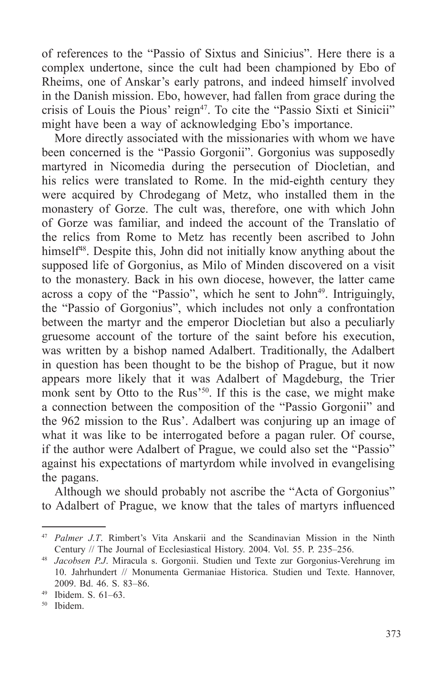of references to the "Passio of Sixtus and Sinicius". Here there is a complex undertone, since the cult had been championed by Ebo of Rheims, one of Anskar's early patrons, and indeed himself involved in the Danish mission. Ebo, however, had fallen from grace during the crisis of Louis the Pious' reign<sup>47</sup>. To cite the "Passio Sixti et Sinicii" might have been a way of acknowledging Ebo's importance.

More directly associated with the missionaries with whom we have been concerned is the "Passio Gorgonii". Gorgonius was supposedly martyred in Nicomedia during the persecution of Diocletian, and his relics were translated to Rome. In the mid-eighth century they were acquired by Chrodegang of Metz, who installed them in the monastery of Gorze. The cult was, therefore, one with which John of Gorze was familiar, and indeed the account of the Translatio of the relics from Rome to Metz has recently been ascribed to John himself<sup>48</sup>. Despite this, John did not initially know anything about the supposed life of Gorgonius, as Milo of Minden discovered on a visit to the monastery. Back in his own diocese, however, the latter came across a copy of the "Passio", which he sent to John<sup>49</sup>. Intriguingly, the "Passio of Gorgonius", which includes not only a confrontation between the martyr and the emperor Diocletian but also a peculiarly gruesome account of the torture of the saint before his execution, was written by a bishop named Adalbert. Traditionally, the Adalbert in question has been thought to be the bishop of Prague, but it now appears more likely that it was Adalbert of Magdeburg, the Trier monk sent by Otto to the Rus'<sup>50</sup>. If this is the case, we might make a connection between the composition of the "Passio Gorgonii" and the 962 mission to the Rus'. Adalbert was conjuring up an image of what it was like to be interrogated before a pagan ruler. Of course, if the author were Adalbert of Prague, we could also set the "Passio" against his expectations of martyrdom while involved in evangelising the pagans.

Although we should probably not ascribe the "Acta of Gorgonius" to Adalbert of Prague, we know that the tales of martyrs influenced

<sup>47</sup> *Palmer J.T*. Rimbert's Vita Anskarii and the Scandinavian Mission in the Ninth Century // The Journal of Ecclesiastical History. 2004. Vol. 55. P. 235–256.

<sup>48</sup> *Jacobsen P.J*. Miracula s. Gorgonii. Studien und Texte zur Gorgonius-Verehrung im 10. Jahrhundert // Monumenta Germaniae Historica. Studien und Texte. Hannover, 2009. Bd. 46. S. 83–86.

<sup>49</sup> Ibidem. S. 61–63.

<sup>50</sup> Ibidem.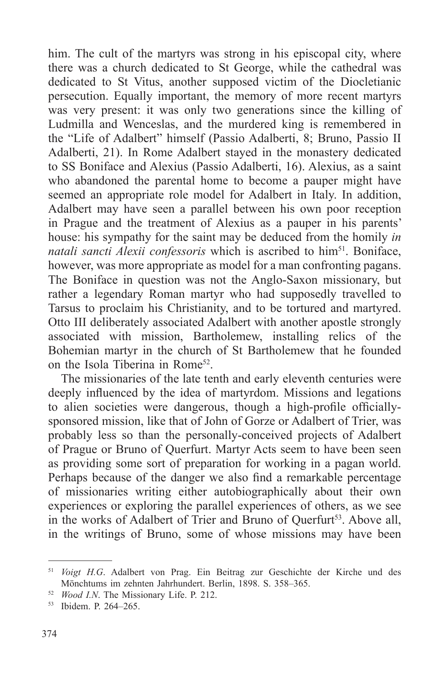him. The cult of the martyrs was strong in his episcopal city, where there was a church dedicated to St George, while the cathedral was dedicated to St Vitus, another supposed victim of the Diocletianic persecution. Equally important, the memory of more recent martyrs was very present: it was only two generations since the killing of Ludmilla and Wenceslas, and the murdered king is remembered in the "Life of Adalbert" himself (Passio Adalberti, 8; Bruno, Passio II Adalberti, 21). In Rome Adalbert stayed in the monastery dedicated to SS Boniface and Alexius (Passio Adalberti, 16). Alexius, as a saint who abandoned the parental home to become a pauper might have seemed an appropriate role model for Adalbert in Italy. In addition, Adalbert may have seen a parallel between his own poor reception in Prague and the treatment of Alexius as a pauper in his parents' house: his sympathy for the saint may be deduced from the homily *in natali sancti Alexii confessoris* which is ascribed to him<sup>51</sup>. Boniface, however, was more appropriate as model for a man confronting pagans. The Boniface in question was not the Anglo-Saxon missionary, but rather a legendary Roman martyr who had supposedly travelled to Tarsus to proclaim his Christianity, and to be tortured and martyred. Otto III deliberately associated Adalbert with another apostle strongly associated with mission, Bartholemew, installing relics of the Bohemian martyr in the church of St Bartholemew that he founded on the Isola Tiberina in Rome52.

The missionaries of the late tenth and early eleventh centuries were deeply influenced by the idea of martyrdom. Missions and legations to alien societies were dangerous, though a high-profile officiallysponsored mission, like that of John of Gorze or Adalbert of Trier, was probably less so than the personally-conceived projects of Adalbert of Prague or Bruno of Querfurt. Martyr Acts seem to have been seen as providing some sort of preparation for working in a pagan world. Perhaps because of the danger we also find a remarkable percentage of missionaries writing either autobiographically about their own experiences or exploring the parallel experiences of others, as we see in the works of Adalbert of Trier and Bruno of Querfurt<sup>53</sup>. Above all, in the writings of Bruno, some of whose missions may have been

<sup>51</sup> *Voigt H.G*. Adalbert von Prag. Ein Beitrag zur Geschichte der Kirche und des Mönchtums im zehnten Jahrhundert. Berlin, 1898. S. 358–365.

<sup>52</sup> *Wood I.N*. The Missionary Life. P. 212.

<sup>53</sup> Ibidem. P. 264–265.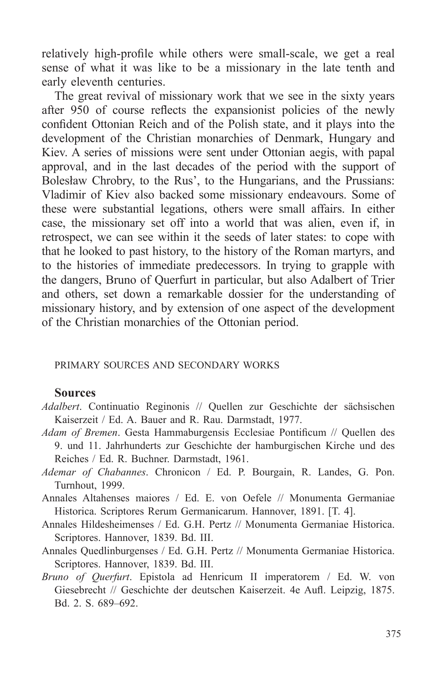relatively high-profile while others were small-scale, we get a real sense of what it was like to be a missionary in the late tenth and early eleventh centuries.

The great revival of missionary work that we see in the sixty years after 950 of course reflects the expansionist policies of the newly confident Ottonian Reich and of the Polish state, and it plays into the development of the Christian monarchies of Denmark, Hungary and Kiev. A series of missions were sent under Ottonian aegis, with papal approval, and in the last decades of the period with the support of Bolesław Chrobry, to the Rus', to the Hungarians, and the Prussians: Vladimir of Kiev also backed some missionary endeavours. Some of these were substantial legations, others were small affairs. In either case, the missionary set off into a world that was alien, even if, in retrospect, we can see within it the seeds of later states: to cope with that he looked to past history, to the history of the Roman martyrs, and to the histories of immediate predecessors. In trying to grapple with the dangers, Bruno of Querfurt in particular, but also Adalbert of Trier and others, set down a remarkable dossier for the understanding of missionary history, and by extension of one aspect of the development of the Christian monarchies of the Ottonian period.

#### PRIMARY SOURCES AND SECONDARY WORKS

#### **Sources**

- *Adalbert*. Continuatio Reginonis // Quellen zur Geschichte der sächsischen Kaiserzeit / Ed. A. Bauer and R. Rau. Darmstadt, 1977.
- *Adam of Bremen*. Gesta Hammaburgensis Ecclesiae Pontificum // Quellen des 9. und 11. Jahrhunderts zur Geschichte der hamburgischen Kirche und des Reiches / Ed. R. Buchner. Darmstadt, 1961.
- *Ademar of Chabannes*. Chronicon / Ed. P. Bourgain, R. Landes, G. Pon. Turnhout, 1999.
- Annales Altahenses maiores / Ed. E. von Oefele // Monumenta Germaniae Historica. Scriptores Rerum Germanicarum. Hannover, 1891. [T. 4].
- Annales Hildesheimenses / Ed. G.H. Pertz // Monumenta Germaniae Historica. Scriptores. Hannover, 1839. Bd. III.
- Annales Quedlinburgenses / Ed. G.H. Pertz // Monumenta Germaniae Historica. Scriptores. Hannover, 1839. Bd. III.
- *Bruno of Querfurt*. Epistola ad Henricum II imperatorem / Ed. W. von Giesebrecht // Geschichte der deutschen Kaiserzeit. 4e Aufl. Leipzig, 1875. Bd. 2. S. 689–692.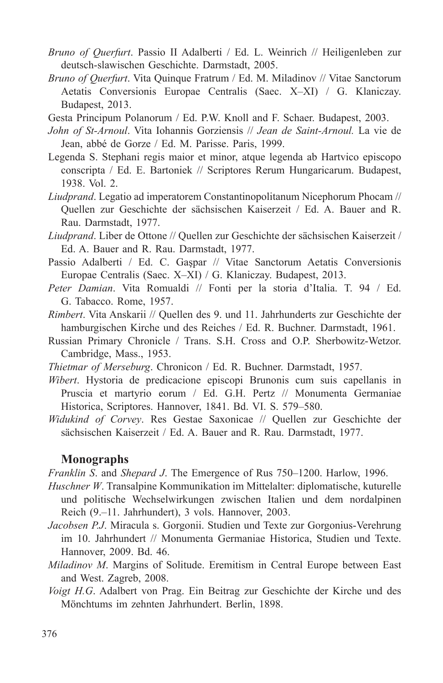- *Bruno of Querfurt*. Passio II Adalberti / Ed. L. Weinrich // Heiligenleben zur deutsch-slawischen Geschichte. Darmstadt, 2005.
- *Bruno of Querfurt*. Vita Quinque Fratrum / Ed. M. Miladinov // Vitae Sanctorum Aetatis Conversionis Europae Centralis (Saec. X–XI) / G. Klaniczay. Budapest, 2013.
- Gesta Principum Polanorum / Ed. P.W. Knoll and F. Schaer. Budapest, 2003.
- *John of St-Arnoul*. Vita Iohannis Gorziensis // *Jean de Saint-Arnoul.* La vie de Jean, abbé de Gorze / Ed. M. Parisse. Paris, 1999.
- Legenda S. Stephani regis maior et minor, atque legenda ab Hartvico episcopo conscripta / Ed. E. Bartoniek // Scriptores Rerum Hungaricarum. Budapest, 1938. Vol. 2.
- *Liudprand*. Legatio ad imperatorem Constantinopolitanum Nicephorum Phocam // Quellen zur Geschichte der sächsischen Kaiserzeit / Ed. A. Bauer and R. Rau. Darmstadt, 1977.
- *Liudprand*. Liber de Ottone // Quellen zur Geschichte der sächsischen Kaiserzeit / Ed. A. Bauer and R. Rau. Darmstadt, 1977.
- Passio Adalberti / Ed. C. Gaşpar // Vitae Sanctorum Aetatis Conversionis Europae Centralis (Saec. X–XI) / G. Klaniczay. Budapest, 2013.
- *Peter Damian*. Vita Romualdi // Fonti per la storia d'Italia. T. 94 / Ed. G. Tabacco. Rome, 1957.
- *Rimbert*. Vita Anskarii // Quellen des 9. und 11. Jahrhunderts zur Geschichte der hamburgischen Kirche und des Reiches / Ed. R. Buchner. Darmstadt, 1961.
- Russian Primary Chronicle / Trans. S.H. Cross and O.P. Sherbowitz-Wetzor. Cambridge, Mass., 1953.
- *Thietmar of Merseburg*. Chronicon / Ed. R. Buchner. Darmstadt, 1957.
- *Wibert*. Hystoria de predicacione episcopi Brunonis cum suis capellanis in Pruscia et martyrio eorum / Ed. G.H. Pertz // Monumenta Germaniae Historica, Scriptores. Hannover, 1841. Bd. VI. S. 579–580.
- *Widukind of Corvey*. Res Gestae Saxonicae // Quellen zur Geschichte der sächsischen Kaiserzeit / Ed. A. Bauer and R. Rau. Darmstadt, 1977.

#### **Monographs**

*Franklin S*. and *Shepard J*. The Emergence of Rus 750–1200. Harlow, 1996.

- *Huschner W*. Transalpine Kommunikation im Mittelalter: diplomatische, kuturelle und politische Wechselwirkungen zwischen Italien und dem nordalpinen Reich (9.–11. Jahrhundert), 3 vols. Hannover, 2003.
- *Jacobsen P.J*. Miracula s. Gorgonii. Studien und Texte zur Gorgonius-Verehrung im 10. Jahrhundert // Monumenta Germaniae Historica, Studien und Texte. Hannover, 2009. Bd. 46.
- *Miladinov M*. Margins of Solitude. Eremitism in Central Europe between East and West. Zagreb, 2008.
- *Voigt H.G*. Adalbert von Prag. Ein Beitrag zur Geschichte der Kirche und des Mönchtums im zehnten Jahrhundert. Berlin, 1898.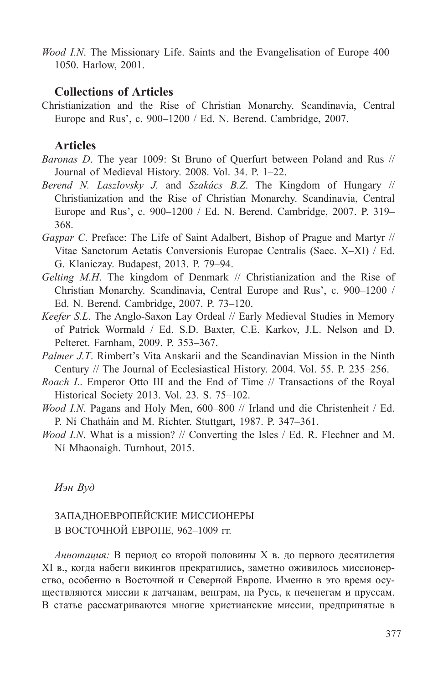*Wood I.N*. The Missionary Life. Saints and the Evangelisation of Europe 400– 1050. Harlow, 2001.

## **Collections of Articles**

Christianization and the Rise of Christian Monarchy. Scandinavia, Central Europe and Rus', c. 900–1200 / Ed. N. Berend. Cambridge, 2007.

#### **Articles**

- *Baronas D*. The year 1009: St Bruno of Querfurt between Poland and Rus // Journal of Medieval History. 2008. Vol. 34. P. 1–22.
- *Berend N. Laszlovsky J.* and *Szakács B.Z*. The Kingdom of Hungary // Christianization and the Rise of Christian Monarchy. Scandinavia, Central Europe and Rus', c. 900–1200 / Ed. N. Berend. Cambridge, 2007. P. 319– 368.
- *Gaşpar C*. Preface: The Life of Saint Adalbert, Bishop of Prague and Martyr // Vitae Sanctorum Aetatis Conversionis Europae Centralis (Saec. X–XI) / Ed. G. Klaniczay. Budapest, 2013. P. 79–94.
- *Gelting M.H*. The kingdom of Denmark // Christianization and the Rise of Christian Monarchy. Scandinavia, Central Europe and Rus', c. 900–1200 / Ed. N. Berend. Cambridge, 2007. P. 73–120.
- *Keefer S.L*. The Anglo-Saxon Lay Ordeal // Early Medieval Studies in Memory of Patrick Wormald / Ed. S.D. Baxter, C.E. Karkov, J.L. Nelson and D. Pelteret. Farnham, 2009. P. 353–367.
- *Palmer J.T*. Rimbert's Vita Anskarii and the Scandinavian Mission in the Ninth Century // The Journal of Ecclesiastical History. 2004. Vol. 55. P. 235–256.
- *Roach L*. Emperor Otto III and the End of Time // Transactions of the Royal Historical Society 2013. Vol. 23. S. 75–102.
- *Wood I.N*. Pagans and Holy Men, 600–800 // Irland und die Christenheit / Ed. P. Ní Chatháin and M. Richter. Stuttgart, 1987. P. 347–361.
- *Wood I.N*. What is a mission? // Converting the Isles / Ed. R. Flechner and M. Ní Mhaonaigh. Turnhout, 2015.

*Иэн Вуд*

## ЗАПАДНОЕВРОПЕЙСКИЕ МИССИОНЕРЫ В ВОСТОЧНОЙ ЕВРОПЕ, 962–1009 гг.

*Аннотация:* В период со второй половины X в. до первого десятилетия XI в., когда набеги викингов прекратились, заметно оживилось миссионерство, особенно в Восточной и Северной Европе. Именно в это время осуществляются миссии к датчанам, венграм, на Русь, к печенегам и пруссам. В статье рассматриваются многие христианские миссии, предпринятые в